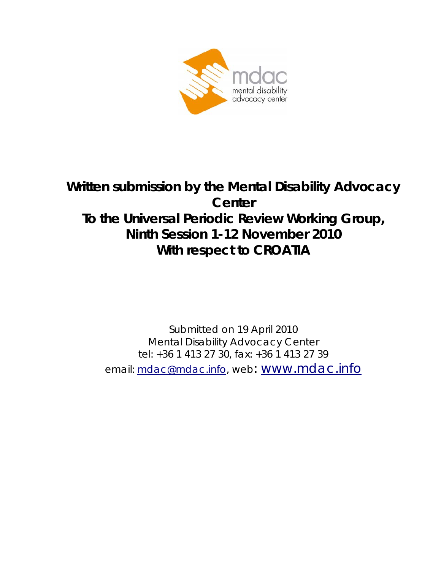

# **Written submission by the Mental Disability Advocacy Center To the Universal Periodic Review Working Group, Ninth Session 1-12 November 2010 With respect to CROATIA**

Submitted on 19 April 2010 Mental Disability Advocacy Center tel: +36 1 413 27 30, fax: +36 1 413 27 39 email: mdac@mdac.info, web: www.mdac.info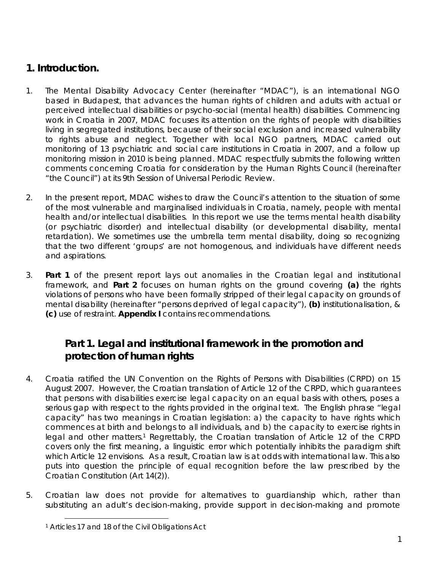## *1. Introduction.*

- 1. The Mental Disability Advocacy Center (*hereinafter* "MDAC"), is an international NGO based in Budapest, that advances the human rights of children and adults with actual or perceived intellectual disabilities or psycho-social (mental health) disabilities. Commencing work in Croatia in 2007, MDAC focuses its attention on the rights of people with disabilities living in segregated institutions, because of their social exclusion and increased vulnerability to rights abuse and neglect. Together with local NGO partners, MDAC carried out monitoring of 13 psychiatric and social care institutions in Croatia in 2007, and a follow up monitoring mission in 2010 is being planned. MDAC respectfully submits the following written comments concerning Croatia for consideration by the Human Rights Council (*hereinafter* "the Council") at its 9th Session of Universal Periodic Review.
- 2. In the present report, MDAC wishes to draw the Council's attention to the situation of some of the most vulnerable and marginalised individuals in Croatia, namely, people with mental health and/or intellectual disabilities. In this report we use the terms mental health disability (or psychiatric disorder) and intellectual disability (or developmental disability, mental retardation). We sometimes use the umbrella term mental disability, doing so recognizing that the two different 'groups' are not homogenous, and individuals have different needs and aspirations.
- 3. **Part 1** of the present report lays out anomalies in the Croatian legal and institutional framework, and **Part 2** focuses on human rights on the ground covering **(a)** the rights violations of persons who have been formally stripped of their legal capacity on grounds of mental disability (hereinafter "persons deprived of legal capacity"), **(b)** institutionalisation, & **(c)** use of restraint. **Appendix I** contains recommendations.

## *Part 1. Legal and institutional framework in the promotion and protection of human rights*

- 4. Croatia ratified the UN Convention on the Rights of Persons with Disabilities (CRPD) on 15 August 2007. However, the Croatian translation of Article 12 of the CRPD, which guarantees that persons with disabilities exercise legal capacity on an equal basis with others, poses a serious gap with respect to the rights provided in the original text. The English phrase "legal capacity" has two meanings in Croatian legislation: a) the capacity to have rights which commences at birth and belongs to all individuals, and b) the capacity to exercise rights in legal and other matters.<sup>1</sup> Regrettably, the Croatian translation of Article 12 of the CRPD covers only the first meaning, a linguistic error which potentially inhibits the paradigm shift which Article 12 envisions. As a result, Croatian law is at odds with international law. This also puts into question the principle of equal recognition before the law prescribed by the Croatian Constitution (Art 14(2)).
- 5. Croatian law does not provide for alternatives to guardianship which, rather than substituting an adult's decision-making, provide support in decision-making and promote

<sup>1</sup> Articles 17 and 18 of the Civil Obligations Act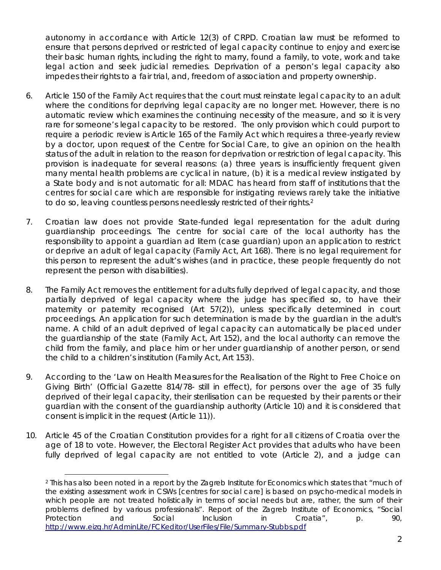autonomy in accordance with Article 12(3) of CRPD. Croatian law must be reformed to ensure that persons deprived or restricted of legal capacity continue to enjoy and exercise their basic human rights, including the right to marry, found a family, to vote, work and take legal action and seek judicial remedies. Deprivation of a person's legal capacity also impedes their rights to a fair trial, and, freedom of association and property ownership.

- 6. Article 150 of the Family Act requires that the court must reinstate legal capacity to an adult where the conditions for depriving legal capacity are no longer met. However, there is no automatic review which examines the continuing necessity of the measure, and so it is very rare for someone's legal capacity to be restored. The only provision which could purport to require a periodic review is Article 165 of the Family Act which requires a three-yearly review by a doctor, upon request of the Centre for Social Care, to give an opinion on the health status of the adult in relation to the reason for deprivation or restriction of legal capacity. This provision is inadequate for several reasons: (a) three years is insufficiently frequent given many mental health problems are cyclical in nature, (b) it is a medical review instigated by a State body and is not automatic for all: MDAC has heard from staff of institutions that the centres for social care which are responsible for instigating reviews rarely take the initiative to do so, leaving countless persons needlessly restricted of their rights.<sup>2</sup>
- 7. Croatian law does not provide State-funded legal representation for the adult during guardianship proceedings. The centre for social care of the local authority has the responsibility to appoint a guardian *ad litem* (case guardian) upon an application to restrict or deprive an adult of legal capacity (Family Act, Art 168). There is no legal requirement for this person to represent the adult's wishes (and in practice, these people frequently do not represent the person with disabilities).
- 8. The Family Act removes the entitlement for adults fully deprived of legal capacity, and those partially deprived of legal capacity where the judge has specified so, to have their maternity or paternity recognised (Art 57(2)), unless specifically determined in court proceedings. An application for such determination is made by the guardian in the adult's name. A child of an adult deprived of legal capacity can automatically be placed under the guardianship of the state (Family Act, Art 152), and the local authority can remove the child from the family, and place him or her under guardianship of another person, or send the child to a children's institution (Family Act, Art 153).
- 9. According to the 'Law on Health Measures for the Realisation of the Right to Free Choice on Giving Birth' (Official Gazette 814/78- still in effect), for persons over the age of 35 fully deprived of their legal capacity, their sterilisation can be requested by their parents or their guardian with the consent of the guardianship authority (Article 10) and it is considered that consent is implicit in the request (Article 11)).
- 10. Article 45 of the Croatian Constitution provides for a right for all citizens of Croatia over the age of 18 to vote. However, the Electoral Register Act provides that adults who have been fully deprived of legal capacity are not entitled to vote (Article 2), and a judge can

<sup>2</sup> This has also been noted in a report by the Zagreb Institute for Economics which states that "*much of the existing assessment work in CSWs [centres for social care] is based on psycho-medical models in*  which people are not treated holistically in terms of social needs but are, rather, the sum of their *problems defined by various professionals*". Report of the Zagreb Institute of Economics, "Social Protection and Social Inclusion in Croatia", p. 90, http://www.eizg.hr/AdminLite/FCKeditor/UserFiles/File/Summary-Stubbs.pdf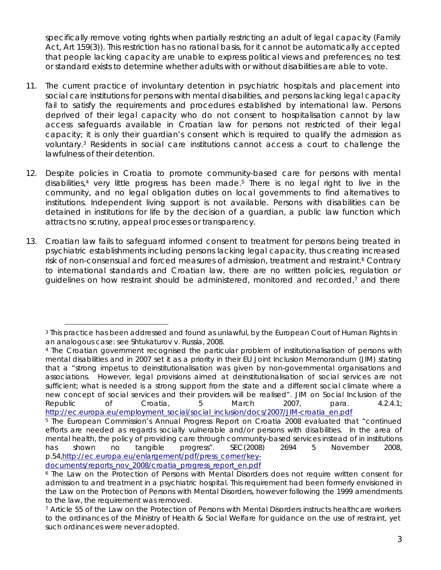specifically remove voting rights when partially restricting an adult of legal capacity (Family Act, Art 159(3)). This restriction has no rational basis, for it cannot be automatically accepted that people lacking capacity are unable to express political views and preferences; no test or standard exists to determine whether adults with or without disabilities are able to vote.

- 11. The current practice of involuntary detention in psychiatric hospitals and placement into social care institutions for persons with mental disabilities, and persons lacking legal capacity fail to satisfy the requirements and procedures established by international law. Persons deprived of their legal capacity who do not consent to hospitalisation cannot by law access safeguards available in Croatian law for persons not restricted of their legal capacity; it is only their guardian's consent which is required to qualify the admission as voluntary.3 Residents in social care institutions cannot access a court to challenge the lawfulness of their detention.
- 12. Despite policies in Croatia to promote community-based care for persons with mental disabilities,<sup>4</sup> very little progress has been made.<sup>5</sup> There is no legal right to live in the community, and no legal obligation duties on local governments to find alternatives to institutions. Independent living support is not available. Persons with disabilities can be detained in institutions for life by the decision of a guardian, a public law function which attracts no scrutiny, appeal processes or transparency.
- 13. Croatian law fails to safeguard informed consent to treatment for persons being treated in psychiatric establishments including persons lacking legal capacity, thus creating increased risk of non-consensual and forced measures of admission, treatment and restraint.<sup>6</sup> Contrary to international standards and Croatian law, there are no written policies, regulation or guidelines on how restraint should be administered, monitored and recorded,<sup>7</sup> and there

<sup>&</sup>lt;sup>3</sup> This practice has been addressed and found as unlawful, by the European Court of Human Rights in an analogous case: see Shtukaturov v. Russia, 2008.

<sup>4</sup> The Croatian government recognised the particular problem of institutionalisation of persons with mental disabilities and in 2007 set it as a priority in their EU Joint Inclusion Memorandum (JIM) stating that a "strong impetus to deinstitutionalisation was given by non-governmental organisations and associations. However, legal provisions aimed at deinstitutionalisation of social services are not sufficient; what is needed is a strong support from the state and a different social climate where a new concept of social services and their providers will be realised". JIM on Social Inclusion of the Republic of Croatia, 5 March 2007, para. 4.2.4.1; http://ec.europa.eu/employment\_social/social\_inclusion/docs/2007/JIM-croatia\_en.pdf

<sup>5</sup> The European Commission's Annual Progress Report on Croatia 2008 evaluated that *"continued efforts are needed as regards socially vulnerable and/or persons with disabilities. In the area of mental health, the policy of providing care through community-based services instead of in institutions has shown no tangible progress". SEC(2008) 2694* 5 November 2008, p.54,http://ec.europa.eu/enlargement/pdf/press\_corner/key-

documents/reports\_nov\_2008/croatia\_progress\_report\_en.pdf

<sup>6</sup> The Law on the Protection of Persons with Mental Disorders does not require written consent for admission to and treatment in a psychiatric hospital. This requirement had been formerly envisioned in the Law on the Protection of Persons with Mental Disorders, however following the 1999 amendments to the law, the requirement was removed.

<sup>7</sup> Article 55 of the Law on the Protection of Persons with Mental Disorders instructs healthcare workers to the ordinances of the Ministry of Health & Social Welfare for guidance on the use of restraint, yet such ordinances were never adopted.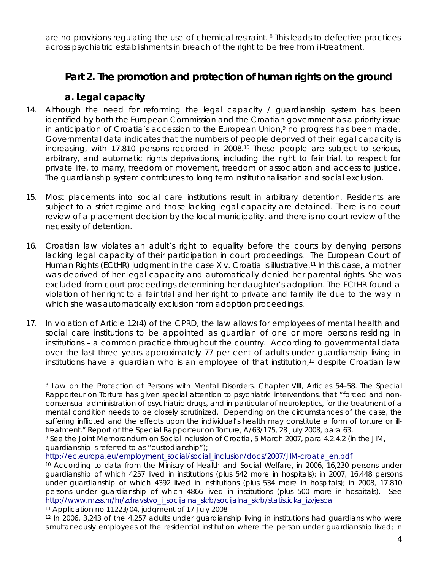are no provisions regulating the use of chemical restraint. 8 This leads to defective practices across psychiatric establishments in breach of the right to be free from ill-treatment.

## *Part 2. The promotion and protection of human rights on the ground*

### **a. Legal capacity**

- 14. Although the need for reforming the legal capacity / guardianship system has been identified by both the European Commission and the Croatian government as a priority issue in anticipation of Croatia's accession to the European Union,<sup>9</sup> no progress has been made. Governmental data indicates that the numbers of people deprived of their legal capacity is increasing, with 17,810 persons recorded in 2008.10 These people are subject to serious, arbitrary, and automatic rights deprivations, including the right to fair trial, to respect for private life, to marry, freedom of movement, freedom of association and access to justice. The guardianship system contributes to long term institutionalisation and social exclusion.
- 15. Most placements into social care institutions result in arbitrary detention. Residents are subject to a strict regime and those lacking legal capacity are detained. There is no court review of a placement decision by the local municipality, and there is no court review of the necessity of detention.
- 16. Croatian law violates an adult's right to equality before the courts by denying persons lacking legal capacity of their participation in court proceedings. The European Court of Human Rights (ECtHR) judgment in the case *X v. Croatia* is illustrative.<sup>11</sup> In this case, a mother was deprived of her legal capacity and automatically denied her parental rights. She was excluded from court proceedings determining her daughter's adoption. The ECtHR found a violation of her right to a fair trial and her right to private and family life due to the way in which she was automatically exclusion from adoption proceedings.
- 17. In violation of Article 12(4) of the CPRD, the law allows for employees of mental health and social care institutions to be appointed as guardian of one or more persons residing in institutions – a common practice throughout the country. According to governmental data over the last three years approximately 77 per cent of adults under guardianship living in institutions have a quardian who is an employee of that institution, $12$  despite Croatian law

<sup>8</sup> Law on the Protection of Persons with Mental Disorders, Chapter VIII, Articles 54–58. The Special Rapporteur on Torture has given special attention to psychiatric interventions, that "forced and nonconsensual administration of psychiatric drugs, and in particular of neuroleptics, for the treatment of a mental condition needs to be closely scrutinized. Depending on the circumstances of the case, the suffering inflicted and the effects upon the individual's health may constitute a form of torture or illtreatment." Report of the Special Rapporteur on Torture, A/63/175, 28 July 2008, para 63.

<sup>9</sup> See the *Joint Memorandum on Social Inclusion of Croatia*, 5 March 2007, para 4.2.4.2 (in the JIM, guardianship is referred to as "custodianship");

http://ec.europa.eu/employment social/social\_inclusion/docs/2007/JIM-croatia\_en.pdf<br><sup>10</sup> According to data from the Ministry of Health and Social Welfare, in 2006, 16,230 persons under guardianship of which 4257 lived in institutions (plus 542 more in hospitals); in 2007, 16,448 persons under guardianship of which 4392 lived in institutions (plus 534 more in hospitals); in 2008, 17,810 persons under guardianship of which 4866 lived in institutions (plus 500 more in hospitals). See http://www.mzss.hr/hr/zdravstvo\_i\_socijalna\_skrb/socijalna\_skrb/statisticka\_izvjesca<br><sup>11</sup> Application no 11223/04, judgment of 17 July 2008

<sup>12</sup> In 2006, 3,243 of the 4,257 adults under guardianship living in institutions had guardians who were simultaneously employees of the residential institution where the person under guardianship lived; in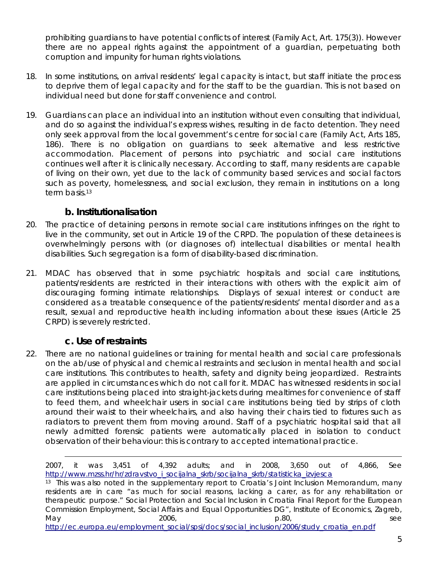prohibiting guardians to have potential conflicts of interest (Family Act, Art. 175(3)). However there are no appeal rights against the appointment of a guardian, perpetuating both corruption and impunity for human rights violations.

- 18. In some institutions, on arrival residents' legal capacity is intact, but staff initiate the process to deprive them of legal capacity and for the staff to be the guardian. This is not based on individual need but done for staff convenience and control.
- 19. Guardians can place an individual into an institution without even consulting that individual, and do so against the individual's express wishes, resulting in *de facto* detention. They need only seek approval from the local government's centre for social care (Family Act, Arts 185, 186). There is no obligation on guardians to seek alternative and less restrictive accommodation. Placement of persons into psychiatric and social care institutions continues well after it is clinically necessary. According to staff, many residents are capable of living on their own, yet due to the lack of community based services and social factors such as poverty, homelessness, and social exclusion, they remain in institutions on a long term basis<sup>13</sup>

#### **b. Institutionalisation**

- 20. The practice of detaining persons in remote social care institutions infringes on the right to live in the community, set out in Article 19 of the CRPD. The population of these detainees is overwhelmingly persons with (or diagnoses of) intellectual disabilities or mental health disabilities. Such segregation is a form of disability-based discrimination.
- 21. MDAC has observed that in some psychiatric hospitals and social care institutions, patients/residents are restricted in their interactions with others with the explicit aim of discouraging forming intimate relationships. Displays of sexual interest or conduct are considered as a treatable consequence of the patients/residents' mental disorder and as a result, sexual and reproductive health including information about these issues (Article 25 CRPD) is severely restricted.

### **c. Use of restraints**

 $\overline{a}$ 

22. There are no national guidelines or training for mental health and social care professionals on the ab/use of physical and chemical restraints and seclusion in mental health and social care institutions. This contributes to health, safety and dignity being jeopardized. Restraints are applied in circumstances which do not call for it. MDAC has witnessed residents in social care institutions being placed into straight-jackets during mealtimes for convenience of staff to feed them, and wheelchair users in social care institutions being tied by strips of cloth around their waist to their wheelchairs, and also having their chairs tied to fixtures such as radiators to prevent them from moving around. Staff of a psychiatric hospital said that all newly admitted forensic patients were automatically placed in isolation to conduct observation of their behaviour: this is contrary to accepted international practice.

2007, it was 3,451 of 4,392 adults; and in 2008, 3,650 out of 4,866, See http://www.mzss.hr/hr/zdravstvo\_i\_socijalna\_skrb/socijalna\_skrb/statisticka\_izvjesca<br><sup>13</sup> This was also noted in the supplementary report to Croatia's Joint Inclusion Memorandum, many

residents are in care "*as much for social reasons, lacking a carer, as for any rehabilitation or therapeutic purpose*." Social Protection and Social Inclusion in Croatia Final Report for the European Commission Employment, Social Affairs and Equal Opportunities DG", Institute of Economics, Zagreb, May 2006, p.80, p.80, see http://ec.europa.eu/employment\_social/spsi/docs/social\_inclusion/2006/study\_croatia\_en.pdf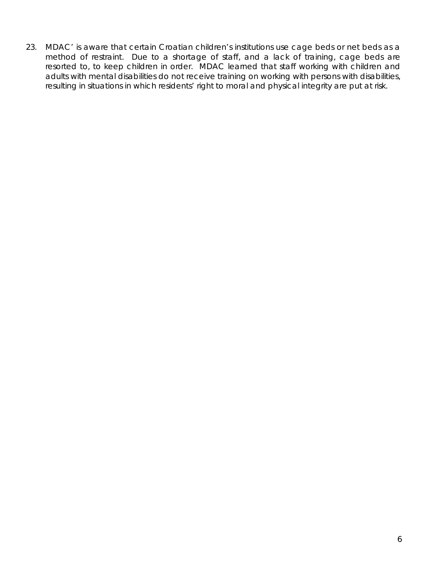23. MDAC' is aware that certain Croatian children's institutions use cage beds or net beds as a method of restraint. Due to a shortage of staff, and a lack of training, cage beds are resorted to, to keep children in order. MDAC learned that staff working with children and adults with mental disabilities do not receive training on working with persons with disabilities, resulting in situations in which residents' right to moral and physical integrity are put at risk.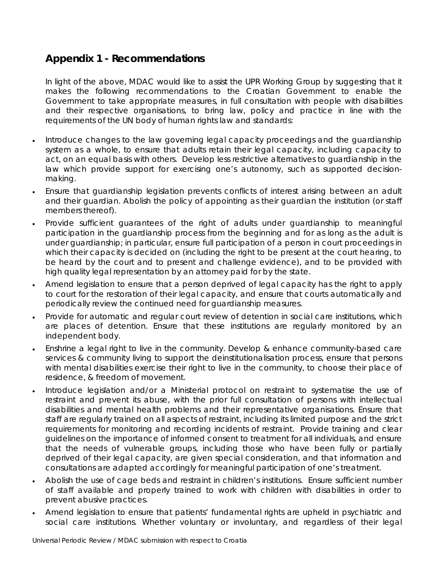## **Appendix 1 - Recommendations**

In light of the above, MDAC would like to assist the UPR Working Group by suggesting that it makes the following recommendations to the Croatian Government to enable the Government to take appropriate measures, in full consultation with people with disabilities and their respective organisations, to bring law, policy and practice in line with the requirements of the UN body of human rights law and standards:

- Introduce changes to the law governing legal capacity proceedings and the quardianship system as a whole, to ensure that adults retain their legal capacity, including capacity to act, on an equal basis with others. Develop less restrictive alternatives to guardianship in the law which provide support for exercising one's autonomy, such as supported decisionmaking.
- Ensure that guardianship legislation prevents conflicts of interest arising between an adult and their guardian. Abolish the policy of appointing as their guardian the institution (or staff members thereof).
- Provide sufficient guarantees of the right of adults under guardianship to meaningful participation in the guardianship process from the beginning and for as long as the adult is under guardianship; in particular, ensure full participation of a person in court proceedings in which their capacity is decided on (including the right to be present at the court hearing, to be heard by the court and to present and challenge evidence), and to be provided with high quality legal representation by an attorney paid for by the state.
- Amend legislation to ensure that a person deprived of legal capacity has the right to apply to court for the restoration of their legal capacity, and ensure that courts automatically and periodically review the continued need for guardianship measures.
- Provide for automatic and regular court review of detention in social care institutions, which are places of detention. Ensure that these institutions are regularly monitored by an independent body.
- Enshrine a legal right to live in the community. Develop & enhance community-based care services & community living to support the deinstitutionalisation process, ensure that persons with mental disabilities exercise their right to live in the community, to choose their place of residence, & freedom of movement.
- Introduce legislation and/or a Ministerial protocol on restraint to systematise the use of restraint and prevent its abuse, with the prior full consultation of persons with intellectual disabilities and mental health problems and their representative organisations. Ensure that staff are regularly trained on all aspects of restraint, including its limited purpose and the strict requirements for monitoring and recording incidents of restraint. Provide training and clear guidelines on the importance of informed consent to treatment for all individuals, and ensure that the needs of vulnerable groups, including those who have been fully or partially deprived of their legal capacity, are given special consideration, and that information and consultations are adapted accordingly for meaningful participation of one's treatment.
- Abolish the use of cage beds and restraint in children's institutions. Ensure sufficient number of staff available and properly trained to work with children with disabilities in order to prevent abusive practices.
- Amend legislation to ensure that patients' fundamental rights are upheld in psychiatric and social care institutions. Whether voluntary or involuntary, and regardless of their legal